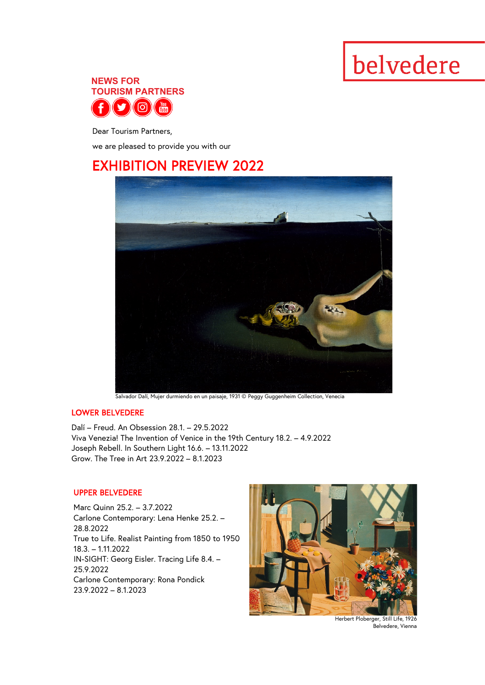# belvedere



Dear Tourism Partners,

we are pleased to provide you with our

## EXHIBITION PREVIEW 2022



LOWER BELVEDERE

Dalí – Freud. An Obsession 28.1. – 29.5.2022 Viva Venezia! The Invention of Venice in the 19th Century 18.2. – 4.9.2022 Joseph Rebell. In Southern Light 16.6. – 13.11.2022 Grow. The Tree in Art 23.9.2022 – 8.1.2023

#### UPPER BELVEDERE

Marc Quinn 25.2. – 3.7.2022 Carlone Contemporary: Lena Henke 25.2. – 28.8.2022 True to Life. Realist Painting from 1850 to 1950 18.3. – 1.11.2022 IN-SIGHT: Georg Eisler. Tracing Life 8.4. – 25.9.2022 Carlone Contemporary: Rona Pondick 23.9.2022 – 8.1.2023



 Herbert Ploberger, Still Life, 1926 Belvedere, Vienna